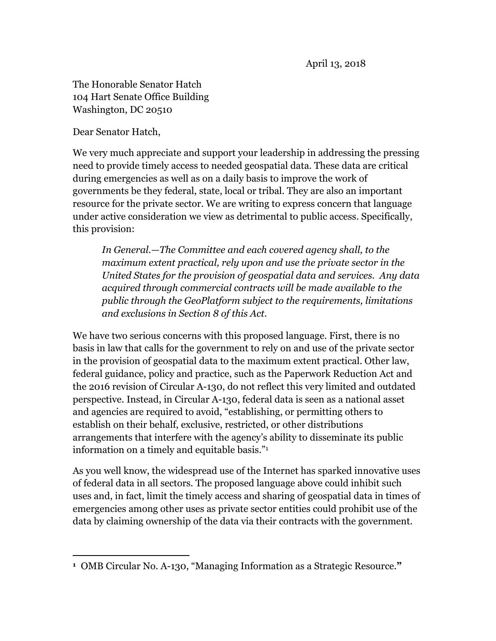The Honorable Senator Hatch 104 Hart Senate Office Building Washington, DC 20510

Dear Senator Hatch,

 

We very much appreciate and support your leadership in addressing the pressing need to provide timely access to needed geospatial data. These data are critical during emergencies as well as on a daily basis to improve the work of governments be they federal, state, local or tribal. They are also an important resource for the private sector. We are writing to express concern that language under active consideration we view as detrimental to public access. Specifically, this provision:

*In General.—The Committee and each covered agency shall, to the maximum extent practical, rely upon and use the private sector in the United States for the provision of geospatial data and services. Any data acquired through commercial contracts will be made available to the public through the GeoPlatform subject to the requirements, limitations and exclusions in Section 8 of this Act.*

We have two serious concerns with this proposed language. First, there is no basis in law that calls for the government to rely on and use of the private sector in the provision of geospatial data to the maximum extent practical. Other law, federal guidance, policy and practice, such as the Paperwork Reduction Act and the 2016 revision of Circular A-130, do not reflect this very limited and outdated perspective. Instead, in Circular A-130, federal data is seen as a national asset and agencies are required to avoid, "establishing, or permitting others to establish on their behalf, exclusive, restricted, or other distributions arrangements that interfere with the agency's ability to disseminate its public information on a timely and equitable basis."1

As you well know, the widespread use of the Internet has sparked innovative uses of federal data in all sectors. The proposed language above could inhibit such uses and, in fact, limit the timely access and sharing of geospatial data in times of emergencies among other uses as private sector entities could prohibit use of the data by claiming ownership of the data via their contracts with the government.

**<sup>1</sup>** OMB Circular No. A-130, "Managing Information as a Strategic Resource.**"**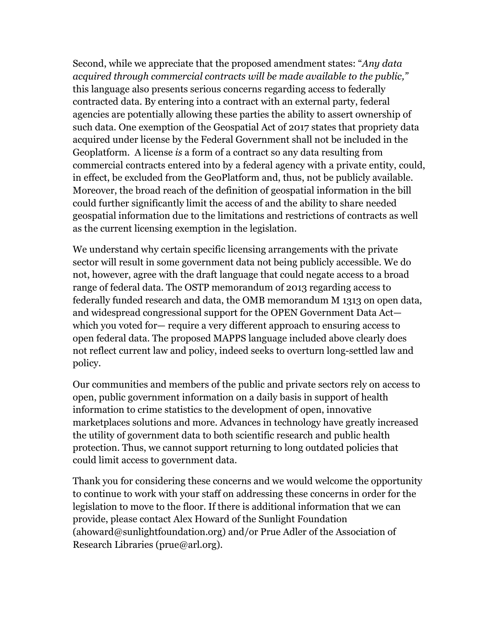Second, while we appreciate that the proposed amendment states: "*Any data acquired through commercial contracts will be made available to the public,"*  this language also presents serious concerns regarding access to federally contracted data. By entering into a contract with an external party, federal agencies are potentially allowing these parties the ability to assert ownership of such data. One exemption of the Geospatial Act of 2017 states that propriety data acquired under license by the Federal Government shall not be included in the Geoplatform. A license *is* a form of a contract so any data resulting from commercial contracts entered into by a federal agency with a private entity, could, in effect, be excluded from the GeoPlatform and, thus, not be publicly available. Moreover, the broad reach of the definition of geospatial information in the bill could further significantly limit the access of and the ability to share needed geospatial information due to the limitations and restrictions of contracts as well as the current licensing exemption in the legislation.

We understand why certain specific licensing arrangements with the private sector will result in some government data not being publicly accessible. We do not, however, agree with the draft language that could negate access to a broad range of federal data. The OSTP memorandum of 2013 regarding access to federally funded research and data, the OMB memorandum M 1313 on open data, and widespread congressional support for the OPEN Government Data Act which you voted for— require a very different approach to ensuring access to open federal data. The proposed MAPPS language included above clearly does not reflect current law and policy, indeed seeks to overturn long-settled law and policy.

Our communities and members of the public and private sectors rely on access to open, public government information on a daily basis in support of health information to crime statistics to the development of open, innovative marketplaces solutions and more. Advances in technology have greatly increased the utility of government data to both scientific research and public health protection. Thus, we cannot support returning to long outdated policies that could limit access to government data.

Thank you for considering these concerns and we would welcome the opportunity to continue to work with your staff on addressing these concerns in order for the legislation to move to the floor. If there is additional information that we can provide, please contact Alex Howard of the Sunlight Foundation (ahoward@sunlightfoundation.org) and/or Prue Adler of the Association of Research Libraries (prue@arl.org).